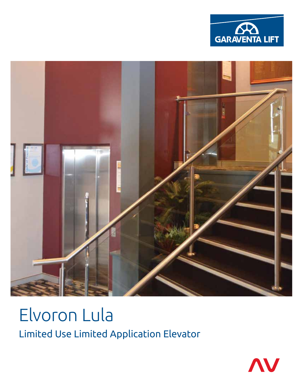



# Elvoron Lula Limited Use Limited Application Elevator

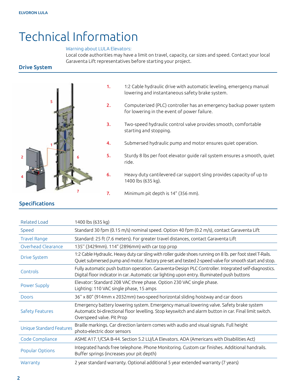## Technical Information

## Warning about LULA Elevators:

Local code authorities may have a limit on travel, capacity, car sizes and speed. Contact your local Garaventa Lift representatives before starting your project.

Drive System



- 1. 1:2 Cable hydraulic drive with automatic leveling, emergency manual lowering and instantaneous safety brake system.
- 2. Computerized (PLC) controller has an emergency backup power system for lowering in the event of power failure.
- 3. Two-speed hydraulic control valve provides smooth, comfortable starting and stopping.
- 4. Submersed hydraulic pump and motor ensures quiet operation.
- 5. Sturdy 8 lbs per foot elevator guide rail system ensures a smooth, quiet ride.
- 6. Heavy duty cantilevered car support sling provides capacity of up to 1400 lbs (635 kg).
- 7. Minimum pit depth is 14" (356 mm).

## Specifications

| <b>Related Load</b>             | 1400 lbs (635 kg)                                                                                                                                                                                                             |
|---------------------------------|-------------------------------------------------------------------------------------------------------------------------------------------------------------------------------------------------------------------------------|
| Speed                           | Standard 30 fpm (0.15 m/s) nominal speed. Option 40 fpm (0.2 m/s), contact Garaventa Lift                                                                                                                                     |
| <b>Travel Range</b>             | Standard: 25 ft (7.6 meters). For greater travel distances, contact Garaventa Lift                                                                                                                                            |
| Overhead Clearance              | 135" (3429mm). 114" (2896mm) with car top prop                                                                                                                                                                                |
| <b>Drive System</b>             | 1:2 Cable Hydraulic. Heavy duty car sling with roller guide shoes running on 8 lb. per foot steel T-Rails.<br>Quiet submersed pump and motor. Factory pre-set and tested 2-speed valve for smooth start and stop.             |
| Controls                        | Fully automatic push button operation. Garaventa-Design PLC Controller. Integrated self-diagnostics.<br>Digital floor indicator in car. Automatic car lighting upon entry. Illuminated push buttons                           |
| <b>Power Supply</b>             | Elevator: Standard 208 VAC three phase. Option 230 VAC single phase.<br>Lighting: 110 VAC single phase, 15 amps                                                                                                               |
| <b>Doors</b>                    | 36" x 80" (914mm x 2032mm) two-speed horizontal sliding hoistway and car doors                                                                                                                                                |
|                                 |                                                                                                                                                                                                                               |
| Safety Features                 | Emergency battery lowering system. Emergency manual lowering valve. Safety brake system<br>Automatic bi-directional floor levelling. Stop keyswitch and alarm button in car. Final limit switch.<br>Overspeed valve. Pit Prop |
| <b>Unique Standard Features</b> | Braille markings. Car direction lantern comes with audio and visual signals. Full height<br>photo-electric door sensors                                                                                                       |
| Code Compliance                 | ASME A17.1/CSA B-44. Section 5.2 LU/LA Elevators. ADA (Americans with Disabilities Act)                                                                                                                                       |
| <b>Popular Options</b>          | Integrated hands free telephone. Phone Monitoring. Custom car finishes. Additional handrails.<br>Buffer springs (increases your pit depth)                                                                                    |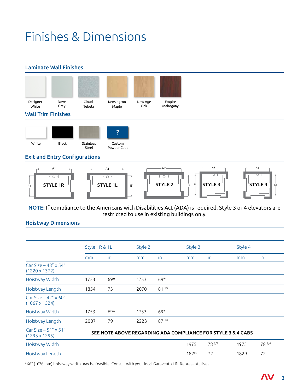## Finishes & Dimensions

## Laminate Wall Finishes



NOTE: If compliance to the Americans with Disabilities Act (ADA) is required, Style 3 or 4 elevators are restricted to use in existing buildings only.

**STYLE 2**  $\parallel$   $\parallel$   $\parallel$ 

**STYLE 3**  $\begin{bmatrix} \end{bmatrix}$  **STYLE 4**  $\begin{bmatrix} 1 \end{bmatrix}$  E4

E3 **STYLE 3**

#### Hoistway Dimensions **STYLE 2** E2

E1 **STYLE 1R**

|                                                      | Style 1R & 1L                                                |       | Style 2 |            | Style 3 |        | Style 4 |        |  |  |
|------------------------------------------------------|--------------------------------------------------------------|-------|---------|------------|---------|--------|---------|--------|--|--|
|                                                      | mm                                                           | in.   | mm      | in         | mm      | in.    | mm      | in     |  |  |
| Car Size $-48'' \times 54''$<br>$(1220 \times 1372)$ |                                                              |       |         |            |         |        |         |        |  |  |
| Hoistway Width                                       | 1753                                                         | $69*$ | 1753    | $69*$      |         |        |         |        |  |  |
| Hoistway Length                                      | 1854                                                         | 73    | 2070    | $81^{1/2}$ |         |        |         |        |  |  |
| Car Size $-42'' \times 60''$<br>$(1067 \times 1524)$ |                                                              |       |         |            |         |        |         |        |  |  |
| Hoistway Width                                       | 1753                                                         | $69*$ | 1753    | $69*$      |         |        |         |        |  |  |
| Hoistway Length                                      | 2007                                                         | 79    | 2223    | $87^{1/2}$ |         |        |         |        |  |  |
| Car Size $-51''$ x 51"<br>$(1295 \times 1295)$       | SEE NOTE ABOVE REGARDING ADA COMPLIANCE FOR STYLE 3 & 4 CABS |       |         |            |         |        |         |        |  |  |
| Hoistway Width                                       |                                                              |       |         |            | 1975    | 78 3/4 | 1975    | 78 3/4 |  |  |
| Hoistway Length                                      |                                                              |       |         |            | 1829    | 72     | 1829    | 72     |  |  |

\*66" (1676 mm) hoistway width may be feasible. Consult with your local Garaventa Lift Representatives.

**STYLE 1R**  $\parallel$  **c**  $\parallel$  style 1l  $\parallel$  e<sub>1</sub>  $\parallel$  style 2